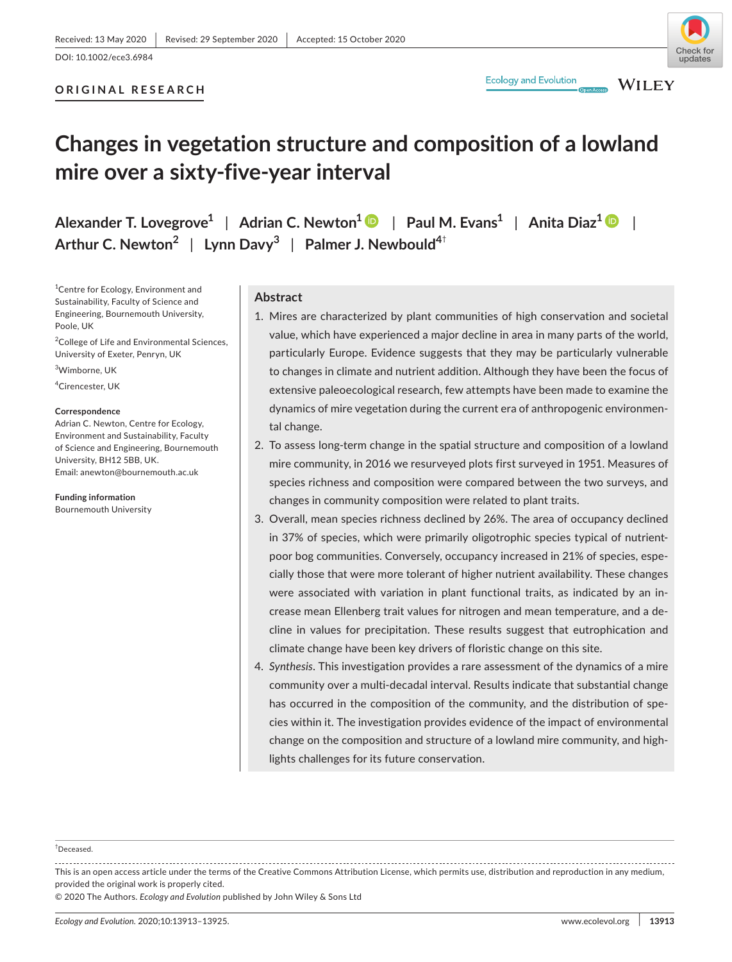# undates

# **ORIGINAL RESEARCH**

**WILEY** 

# **Changes in vegetation structure and composition of a lowland mire over a sixty-five-year interval**

**Alexander T. Lovegrove1** | **Adrian C. Newton1** | **Paul M. Evans1** | **Anita Diaz[1](https://orcid.org/0000-0002-2368-0630)** | **Arthur C. Newton<sup>2</sup>** | **Lynn Davy<sup>3</sup>** | **Palmer J. Newbould4**†

<sup>1</sup> Centre for Ecology, Environment and Sustainability, Faculty of Science and Engineering, Bournemouth University, Poole, UK

<sup>2</sup>College of Life and Environmental Sciences, University of Exeter, Penryn, UK

3 Wimborne, UK

4 Cirencester, UK

#### **Correspondence**

Adrian C. Newton, Centre for Ecology, Environment and Sustainability, Faculty of Science and Engineering, Bournemouth University, BH12 5BB, UK. Email: [anewton@bournemouth.ac.uk](mailto:anewton@bournemouth.ac.uk)

**Funding information**

Bournemouth University

# **Abstract**

- 1. Mires are characterized by plant communities of high conservation and societal value, which have experienced a major decline in area in many parts of the world, particularly Europe. Evidence suggests that they may be particularly vulnerable to changes in climate and nutrient addition. Although they have been the focus of extensive paleoecological research, few attempts have been made to examine the dynamics of mire vegetation during the current era of anthropogenic environmental change.
- 2. To assess long-term change in the spatial structure and composition of a lowland mire community, in 2016 we resurveyed plots first surveyed in 1951. Measures of species richness and composition were compared between the two surveys, and changes in community composition were related to plant traits.
- 3. Overall, mean species richness declined by 26%. The area of occupancy declined in 37% of species, which were primarily oligotrophic species typical of nutrientpoor bog communities. Conversely, occupancy increased in 21% of species, especially those that were more tolerant of higher nutrient availability. These changes were associated with variation in plant functional traits, as indicated by an increase mean Ellenberg trait values for nitrogen and mean temperature, and a decline in values for precipitation. These results suggest that eutrophication and climate change have been key drivers of floristic change on this site.
- 4. *Synthesis*. This investigation provides a rare assessment of the dynamics of a mire community over a multi-decadal interval. Results indicate that substantial change has occurred in the composition of the community, and the distribution of species within it. The investigation provides evidence of the impact of environmental change on the composition and structure of a lowland mire community, and highlights challenges for its future conservation.

† Deceased.

This is an open access article under the terms of the [Creative Commons Attribution](http://creativecommons.org/licenses/by/4.0/) License, which permits use, distribution and reproduction in any medium, provided the original work is properly cited.

© 2020 The Authors. *Ecology and Evolution* published by John Wiley & Sons Ltd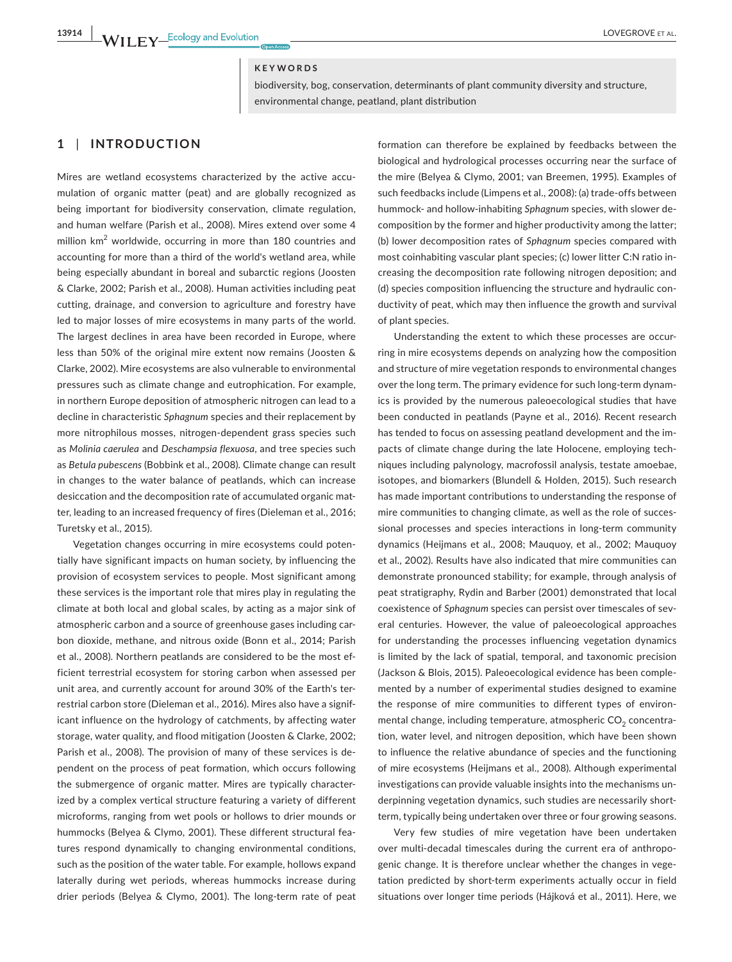# **KEYWORDS**

biodiversity, bog, conservation, determinants of plant community diversity and structure, environmental change, peatland, plant distribution

# **1** | **INTRODUCTION**

Mires are wetland ecosystems characterized by the active accumulation of organic matter (peat) and are globally recognized as being important for biodiversity conservation, climate regulation, and human welfare (Parish et al., 2008). Mires extend over some 4 million km<sup>2</sup> worldwide, occurring in more than 180 countries and accounting for more than a third of the world's wetland area, while being especially abundant in boreal and subarctic regions (Joosten & Clarke, 2002; Parish et al., 2008). Human activities including peat cutting, drainage, and conversion to agriculture and forestry have led to major losses of mire ecosystems in many parts of the world. The largest declines in area have been recorded in Europe, where less than 50% of the original mire extent now remains (Joosten & Clarke, 2002). Mire ecosystems are also vulnerable to environmental pressures such as climate change and eutrophication. For example, in northern Europe deposition of atmospheric nitrogen can lead to a decline in characteristic *Sphagnum* species and their replacement by more nitrophilous mosses, nitrogen-dependent grass species such as *Molinia caerulea* and *Deschampsia flexuosa*, and tree species such as *Betula pubescens* (Bobbink et al., 2008). Climate change can result in changes to the water balance of peatlands, which can increase desiccation and the decomposition rate of accumulated organic matter, leading to an increased frequency of fires (Dieleman et al., 2016; Turetsky et al., 2015).

Vegetation changes occurring in mire ecosystems could potentially have significant impacts on human society, by influencing the provision of ecosystem services to people. Most significant among these services is the important role that mires play in regulating the climate at both local and global scales, by acting as a major sink of atmospheric carbon and a source of greenhouse gases including carbon dioxide, methane, and nitrous oxide (Bonn et al., 2014; Parish et al., 2008). Northern peatlands are considered to be the most efficient terrestrial ecosystem for storing carbon when assessed per unit area, and currently account for around 30% of the Earth's terrestrial carbon store (Dieleman et al., 2016). Mires also have a significant influence on the hydrology of catchments, by affecting water storage, water quality, and flood mitigation (Joosten & Clarke, 2002; Parish et al., 2008). The provision of many of these services is dependent on the process of peat formation, which occurs following the submergence of organic matter. Mires are typically characterized by a complex vertical structure featuring a variety of different microforms, ranging from wet pools or hollows to drier mounds or hummocks (Belyea & Clymo, 2001). These different structural features respond dynamically to changing environmental conditions, such as the position of the water table. For example, hollows expand laterally during wet periods, whereas hummocks increase during drier periods (Belyea & Clymo, 2001). The long-term rate of peat

formation can therefore be explained by feedbacks between the biological and hydrological processes occurring near the surface of the mire (Belyea & Clymo, 2001; van Breemen, 1995). Examples of such feedbacks include (Limpens et al., 2008): (a) trade-offs between hummock- and hollow-inhabiting *Sphagnum* species, with slower decomposition by the former and higher productivity among the latter; (b) lower decomposition rates of *Sphagnum* species compared with most coinhabiting vascular plant species; (c) lower litter C:N ratio increasing the decomposition rate following nitrogen deposition; and (d) species composition influencing the structure and hydraulic conductivity of peat, which may then influence the growth and survival of plant species.

Understanding the extent to which these processes are occurring in mire ecosystems depends on analyzing how the composition and structure of mire vegetation responds to environmental changes over the long term. The primary evidence for such long-term dynamics is provided by the numerous paleoecological studies that have been conducted in peatlands (Payne et al., 2016). Recent research has tended to focus on assessing peatland development and the impacts of climate change during the late Holocene, employing techniques including palynology, macrofossil analysis, testate amoebae, isotopes, and biomarkers (Blundell & Holden, 2015). Such research has made important contributions to understanding the response of mire communities to changing climate, as well as the role of successional processes and species interactions in long-term community dynamics (Heijmans et al., 2008; Mauquoy, et al., 2002; Mauquoy et al., 2002). Results have also indicated that mire communities can demonstrate pronounced stability; for example, through analysis of peat stratigraphy, Rydin and Barber (2001) demonstrated that local coexistence of *Sphagnum* species can persist over timescales of several centuries. However, the value of paleoecological approaches for understanding the processes influencing vegetation dynamics is limited by the lack of spatial, temporal, and taxonomic precision (Jackson & Blois, 2015). Paleoecological evidence has been complemented by a number of experimental studies designed to examine the response of mire communities to different types of environmental change, including temperature, atmospheric  $CO<sub>2</sub>$  concentration, water level, and nitrogen deposition, which have been shown to influence the relative abundance of species and the functioning of mire ecosystems (Heijmans et al., 2008). Although experimental investigations can provide valuable insights into the mechanisms underpinning vegetation dynamics, such studies are necessarily shortterm, typically being undertaken over three or four growing seasons.

Very few studies of mire vegetation have been undertaken over multi-decadal timescales during the current era of anthropogenic change. It is therefore unclear whether the changes in vegetation predicted by short-term experiments actually occur in field situations over longer time periods (Hájková et al., 2011). Here, we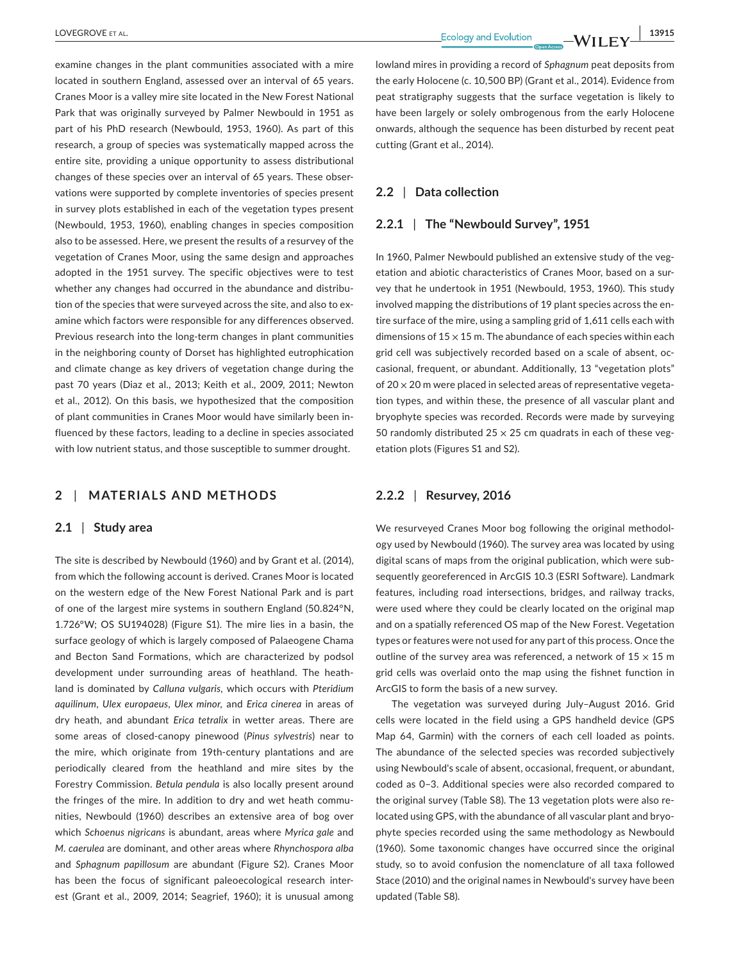examine changes in the plant communities associated with a mire located in southern England, assessed over an interval of 65 years. Cranes Moor is a valley mire site located in the New Forest National Park that was originally surveyed by Palmer Newbould in 1951 as part of his PhD research (Newbould, 1953, 1960). As part of this research, a group of species was systematically mapped across the entire site, providing a unique opportunity to assess distributional changes of these species over an interval of 65 years. These observations were supported by complete inventories of species present in survey plots established in each of the vegetation types present (Newbould, 1953, 1960), enabling changes in species composition also to be assessed. Here, we present the results of a resurvey of the vegetation of Cranes Moor, using the same design and approaches adopted in the 1951 survey. The specific objectives were to test whether any changes had occurred in the abundance and distribution of the species that were surveyed across the site, and also to examine which factors were responsible for any differences observed. Previous research into the long-term changes in plant communities in the neighboring county of Dorset has highlighted eutrophication and climate change as key drivers of vegetation change during the past 70 years (Diaz et al., 2013; Keith et al., 2009, 2011; Newton et al., 2012). On this basis, we hypothesized that the composition of plant communities in Cranes Moor would have similarly been influenced by these factors, leading to a decline in species associated with low nutrient status, and those susceptible to summer drought.

# **2** | **MATERIALS AND METHODS**

# **2.1** | **Study area**

The site is described by Newbould (1960) and by Grant et al. (2014), from which the following account is derived. Cranes Moor is located on the western edge of the New Forest National Park and is part of one of the largest mire systems in southern England (50.824°N, 1.726°W; OS SU194028) (Figure S1). The mire lies in a basin, the surface geology of which is largely composed of Palaeogene Chama and Becton Sand Formations, which are characterized by podsol development under surrounding areas of heathland. The heathland is dominated by *Calluna vulgaris,* which occurs with *Pteridium aquilinum*, *Ulex europaeus*, *Ulex minor,* and *Erica cinerea* in areas of dry heath, and abundant *Erica tetralix* in wetter areas. There are some areas of closed-canopy pinewood (*Pinus sylvestris*) near to the mire, which originate from 19th-century plantations and are periodically cleared from the heathland and mire sites by the Forestry Commission. *Betula pendula* is also locally present around the fringes of the mire. In addition to dry and wet heath communities, Newbould (1960) describes an extensive area of bog over which *Schoenus nigricans* is abundant, areas where *Myrica gale* and *M. caerulea* are dominant, and other areas where *Rhynchospora alba* and *Sphagnum papillosum* are abundant (Figure S2). Cranes Moor has been the focus of significant paleoecological research interest (Grant et al., 2009, 2014; Seagrief, 1960); it is unusual among

 **LOVEGROVE** ET AL. **13915** 

lowland mires in providing a record of *Sphagnum* peat deposits from the early Holocene (c. 10,500 BP) (Grant et al., 2014). Evidence from peat stratigraphy suggests that the surface vegetation is likely to have been largely or solely ombrogenous from the early Holocene onwards, although the sequence has been disturbed by recent peat cutting (Grant et al., 2014).

# **2.2** | **Data collection**

#### **2.2.1** | **The "Newbould Survey", 1951**

In 1960, Palmer Newbould published an extensive study of the vegetation and abiotic characteristics of Cranes Moor, based on a survey that he undertook in 1951 (Newbould, 1953, 1960). This study involved mapping the distributions of 19 plant species across the entire surface of the mire, using a sampling grid of 1,611 cells each with dimensions of  $15 \times 15$  m. The abundance of each species within each grid cell was subjectively recorded based on a scale of absent, occasional, frequent, or abundant. Additionally, 13 "vegetation plots" of  $20 \times 20$  m were placed in selected areas of representative vegetation types, and within these, the presence of all vascular plant and bryophyte species was recorded. Records were made by surveying 50 randomly distributed 25  $\times$  25 cm quadrats in each of these vegetation plots (Figures S1 and S2).

# **2.2.2** | **Resurvey, 2016**

We resurveyed Cranes Moor bog following the original methodology used by Newbould (1960). The survey area was located by using digital scans of maps from the original publication, which were subsequently georeferenced in ArcGIS 10.3 (ESRI Software). Landmark features, including road intersections, bridges, and railway tracks, were used where they could be clearly located on the original map and on a spatially referenced OS map of the New Forest. Vegetation types or features were not used for any part of this process. Once the outline of the survey area was referenced, a network of  $15 \times 15$  m grid cells was overlaid onto the map using the fishnet function in ArcGIS to form the basis of a new survey.

The vegetation was surveyed during July–August 2016. Grid cells were located in the field using a GPS handheld device (GPS Map 64, Garmin) with the corners of each cell loaded as points. The abundance of the selected species was recorded subjectively using Newbould's scale of absent, occasional, frequent, or abundant, coded as 0–3. Additional species were also recorded compared to the original survey (Table S8). The 13 vegetation plots were also relocated using GPS, with the abundance of all vascular plant and bryophyte species recorded using the same methodology as Newbould (1960). Some taxonomic changes have occurred since the original study, so to avoid confusion the nomenclature of all taxa followed Stace (2010) and the original names in Newbould's survey have been updated (Table S8).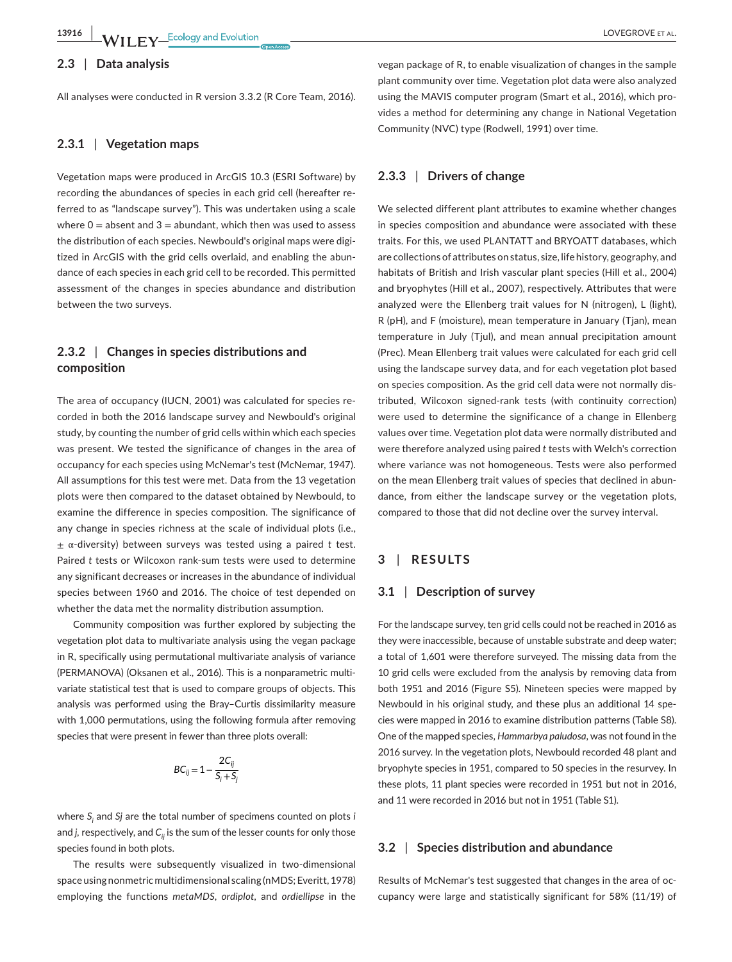#### **2.3** | **Data analysis**

All analyses were conducted in R version 3.3.2 (R Core Team, 2016).

# **2.3.1** | **Vegetation maps**

Vegetation maps were produced in ArcGIS 10.3 (ESRI Software) by recording the abundances of species in each grid cell (hereafter referred to as "landscape survey"). This was undertaken using a scale where  $0 =$  absent and  $3 =$  abundant, which then was used to assess the distribution of each species. Newbould's original maps were digitized in ArcGIS with the grid cells overlaid, and enabling the abundance of each species in each grid cell to be recorded. This permitted assessment of the changes in species abundance and distribution between the two surveys.

# **2.3.2** | **Changes in species distributions and composition**

The area of occupancy (IUCN, 2001) was calculated for species recorded in both the 2016 landscape survey and Newbould's original study, by counting the number of grid cells within which each species was present. We tested the significance of changes in the area of occupancy for each species using McNemar's test (McNemar, 1947). All assumptions for this test were met. Data from the 13 vegetation plots were then compared to the dataset obtained by Newbould, to examine the difference in species composition. The significance of any change in species richness at the scale of individual plots (i.e., ± α-diversity) between surveys was tested using a paired *t* test. Paired *t* tests or Wilcoxon rank-sum tests were used to determine any significant decreases or increases in the abundance of individual species between 1960 and 2016. The choice of test depended on whether the data met the normality distribution assumption.

Community composition was further explored by subjecting the vegetation plot data to multivariate analysis using the vegan package in R, specifically using permutational multivariate analysis of variance (PERMANOVA) (Oksanen et al., 2016). This is a nonparametric multivariate statistical test that is used to compare groups of objects. This analysis was performed using the Bray–Curtis dissimilarity measure with 1,000 permutations, using the following formula after removing species that were present in fewer than three plots overall:

$$
BC_{ij} = 1 - \frac{2C_{ij}}{S_i + S_j}
$$

where *Si* and *Sj* are the total number of specimens counted on plots *i* and *j*, respectively, and C<sub>ii</sub> is the sum of the lesser counts for only those species found in both plots.

The results were subsequently visualized in two-dimensional space using nonmetric multidimensional scaling (nMDS; Everitt, 1978) employing the functions *metaMDS*, *ordiplot,* and *ordiellipse* in the vegan package of R, to enable visualization of changes in the sample plant community over time. Vegetation plot data were also analyzed using the MAVIS computer program (Smart et al., 2016), which provides a method for determining any change in National Vegetation Community (NVC) type (Rodwell, 1991) over time.

# **2.3.3** | **Drivers of change**

We selected different plant attributes to examine whether changes in species composition and abundance were associated with these traits. For this, we used PLANTATT and BRYOATT databases, which are collections of attributes on status, size, life history, geography, and habitats of British and Irish vascular plant species (Hill et al., 2004) and bryophytes (Hill et al., 2007), respectively. Attributes that were analyzed were the Ellenberg trait values for N (nitrogen), L (light), R (pH), and F (moisture), mean temperature in January (Tjan), mean temperature in July (Tjul), and mean annual precipitation amount (Prec). Mean Ellenberg trait values were calculated for each grid cell using the landscape survey data, and for each vegetation plot based on species composition. As the grid cell data were not normally distributed, Wilcoxon signed-rank tests (with continuity correction) were used to determine the significance of a change in Ellenberg values over time. Vegetation plot data were normally distributed and were therefore analyzed using paired *t* tests with Welch's correction where variance was not homogeneous. Tests were also performed on the mean Ellenberg trait values of species that declined in abundance, from either the landscape survey or the vegetation plots, compared to those that did not decline over the survey interval.

# **3** | **RESULTS**

# **3.1** | **Description of survey**

For the landscape survey, ten grid cells could not be reached in 2016 as they were inaccessible, because of unstable substrate and deep water; a total of 1,601 were therefore surveyed. The missing data from the 10 grid cells were excluded from the analysis by removing data from both 1951 and 2016 (Figure S5). Nineteen species were mapped by Newbould in his original study, and these plus an additional 14 species were mapped in 2016 to examine distribution patterns (Table S8). One of the mapped species, *Hammarbya paludosa*, was not found in the 2016 survey. In the vegetation plots, Newbould recorded 48 plant and bryophyte species in 1951, compared to 50 species in the resurvey. In these plots, 11 plant species were recorded in 1951 but not in 2016, and 11 were recorded in 2016 but not in 1951 (Table S1).

## **3.2** | **Species distribution and abundance**

Results of McNemar's test suggested that changes in the area of occupancy were large and statistically significant for 58% (11/19) of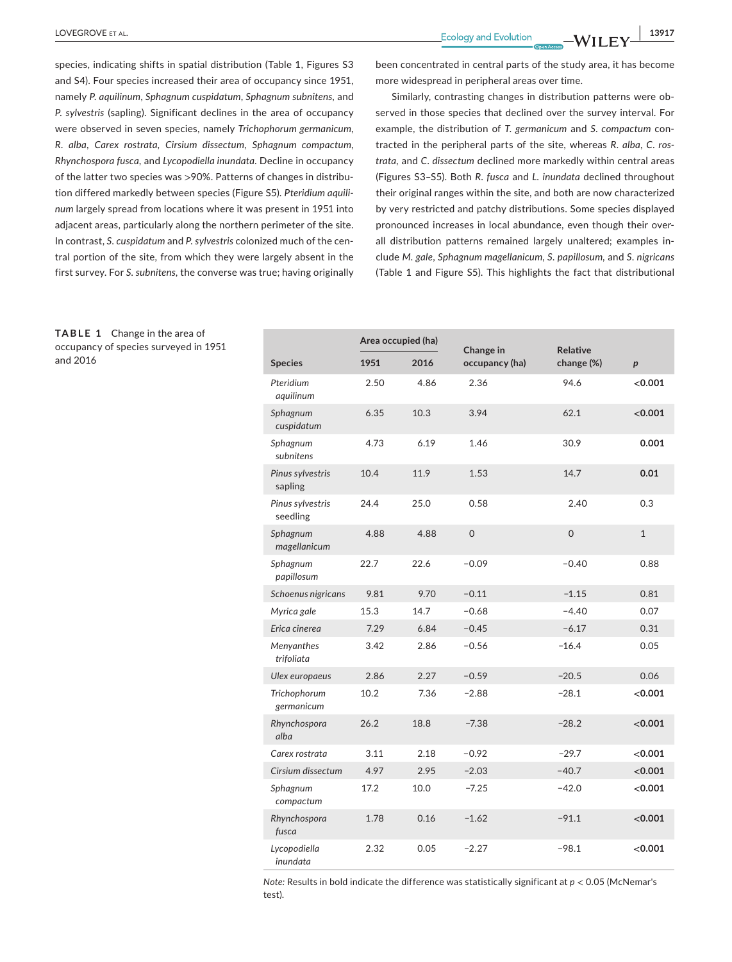**LOVEGROVE** ET AL. **13917** 

species, indicating shifts in spatial distribution (Table 1, Figures S3 and S4). Four species increased their area of occupancy since 1951, namely *P. aquilinum*, *Sphagnum cuspidatum*, *Sphagnum subnitens,* and *P. sylvestris* (sapling). Significant declines in the area of occupancy were observed in seven species, namely *Trichophorum germanicum*, *R. alba*, *Carex rostrata*, *Cirsium dissectum*, *Sphagnum compactum*, *Rhynchospora fusca,* and *Lycopodiella inundata*. Decline in occupancy of the latter two species was >90%. Patterns of changes in distribution differed markedly between species (Figure S5). *Pteridium aquilinum* largely spread from locations where it was present in 1951 into adjacent areas, particularly along the northern perimeter of the site. In contrast, *S. cuspidatum* and *P. sylvestris* colonized much of the central portion of the site, from which they were largely absent in the first survey. For *S. subnitens,* the converse was true; having originally

been concentrated in central parts of the study area, it has become more widespread in peripheral areas over time.

Similarly, contrasting changes in distribution patterns were observed in those species that declined over the survey interval. For example, the distribution of *T. germanicum* and *S. compactum* contracted in the peripheral parts of the site, whereas *R. alba*, *C. rostrata,* and *C. dissectum* declined more markedly within central areas (Figures S3–S5). Both *R. fusca* and *L. inundata* declined throughout their original ranges within the site, and both are now characterized by very restricted and patchy distributions. Some species displayed pronounced increases in local abundance, even though their overall distribution patterns remained largely unaltered; examples include *M. gale*, *Sphagnum magellanicum*, *S. papillosum,* and *S*. *nigricans* (Table 1 and Figure S5). This highlights the fact that distributional

|                              | Area occupied (ha) |      | Change in      | Relative            |                  |
|------------------------------|--------------------|------|----------------|---------------------|------------------|
| <b>Species</b>               | 1951               | 2016 | occupancy (ha) | change (%)          | $\boldsymbol{p}$ |
| Pteridium<br>aquilinum       | 2.50               | 4.86 | 2.36           | 94.6                | < 0.001          |
| Sphagnum<br>cuspidatum       | 6.35               | 10.3 | 3.94           | 62.1                | < 0.001          |
| Sphagnum<br>subnitens        | 4.73               | 6.19 | 1.46           | 30.9                | 0.001            |
| Pinus sylvestris<br>sapling  | 10.4               | 11.9 | 1.53           | 14.7                | 0.01             |
| Pinus sylvestris<br>seedling | 24.4               | 25.0 | 0.58           | 2.40                | 0.3              |
| Sphagnum<br>magellanicum     | 4.88               | 4.88 | $\overline{0}$ | $\mathsf{O}\xspace$ | $\mathbf{1}$     |
| Sphagnum<br>papillosum       | 22.7               | 22.6 | $-0.09$        | $-0.40$             | 0.88             |
| Schoenus nigricans           | 9.81               | 9.70 | $-0.11$        | $-1.15$             | 0.81             |
| Myrica gale                  | 15.3               | 14.7 | $-0.68$        | $-4.40$             | 0.07             |
| Erica cinerea                | 7.29               | 6.84 | $-0.45$        | $-6.17$             | 0.31             |
| Menyanthes<br>trifoliata     | 3.42               | 2.86 | $-0.56$        | $-16.4$             | 0.05             |
| Ulex europaeus               | 2.86               | 2.27 | $-0.59$        | $-20.5$             | 0.06             |
| Trichophorum<br>germanicum   | 10.2               | 7.36 | $-2.88$        | $-28.1$             | < 0.001          |
| Rhynchospora<br>alba         | 26.2               | 18.8 | $-7.38$        | $-28.2$             | < 0.001          |
| Carex rostrata               | 3.11               | 2.18 | $-0.92$        | $-29.7$             | ${<}0.001$       |
| Cirsium dissectum            | 4.97               | 2.95 | $-2.03$        | $-40.7$             | < 0.001          |
| Sphagnum<br>compactum        | 17.2               | 10.0 | $-7.25$        | $-42.0$             | < 0.001          |
| Rhynchospora<br>fusca        | 1.78               | 0.16 | $-1.62$        | $-91.1$             | < 0.001          |
| Lycopodiella<br>inundata     | 2.32               | 0.05 | $-2.27$        | $-98.1$             | < 0.001          |

*Note:* Results in bold indicate the difference was statistically significant at *p* < 0.05 (McNemar's test).

**TABLE 1** Change in the area of occupancy of species surveyed in 1951 and 2016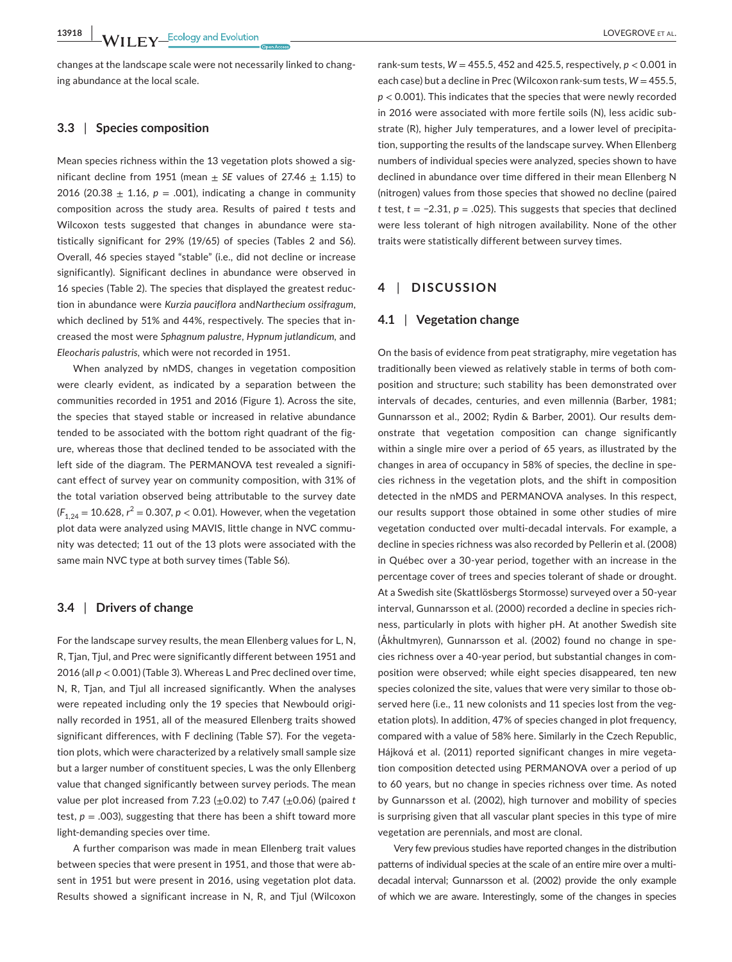changes at the landscape scale were not necessarily linked to changing abundance at the local scale.

# **3.3** | **Species composition**

Mean species richness within the 13 vegetation plots showed a significant decline from 1951 (mean  $\pm$  SE values of 27.46  $\pm$  1.15) to 2016 (20.38  $\pm$  1.16,  $p = .001$ ), indicating a change in community composition across the study area. Results of paired *t* tests and Wilcoxon tests suggested that changes in abundance were statistically significant for 29% (19/65) of species (Tables 2 and S6). Overall, 46 species stayed "stable" (i.e., did not decline or increase significantly). Significant declines in abundance were observed in 16 species (Table 2). The species that displayed the greatest reduction in abundance were *Kurzia pauciflora* and*Narthecium ossifragum*, which declined by 51% and 44%, respectively. The species that increased the most were *Sphagnum palustre*, *Hypnum jutlandicum,* and *Eleocharis palustris,* which were not recorded in 1951.

When analyzed by nMDS, changes in vegetation composition were clearly evident, as indicated by a separation between the communities recorded in 1951 and 2016 (Figure 1). Across the site, the species that stayed stable or increased in relative abundance tended to be associated with the bottom right quadrant of the figure, whereas those that declined tended to be associated with the left side of the diagram. The PERMANOVA test revealed a significant effect of survey year on community composition, with 31% of the total variation observed being attributable to the survey date  $(F_{1,24} = 10.628, r^2 = 0.307, p < 0.01)$ . However, when the vegetation plot data were analyzed using MAVIS, little change in NVC community was detected; 11 out of the 13 plots were associated with the same main NVC type at both survey times (Table S6).

## **3.4** | **Drivers of change**

For the landscape survey results, the mean Ellenberg values for L, N, R, Tjan, Tjul, and Prec were significantly different between 1951 and 2016 (all *p* < 0.001) (Table 3). Whereas L and Prec declined over time, N, R, Tjan, and Tjul all increased significantly. When the analyses were repeated including only the 19 species that Newbould originally recorded in 1951, all of the measured Ellenberg traits showed significant differences, with F declining (Table S7). For the vegetation plots, which were characterized by a relatively small sample size but a larger number of constituent species, L was the only Ellenberg value that changed significantly between survey periods. The mean value per plot increased from 7.23 (±0.02) to 7.47 (±0.06) (paired *t* test,  $p = .003$ ), suggesting that there has been a shift toward more light-demanding species over time.

A further comparison was made in mean Ellenberg trait values between species that were present in 1951, and those that were absent in 1951 but were present in 2016, using vegetation plot data. Results showed a significant increase in N, R, and Tjul (Wilcoxon

rank-sum tests,  $W = 455.5$ , 452 and 425.5, respectively,  $p < 0.001$  in each case) but a decline in Prec (Wilcoxon rank-sum tests,  $W = 455.5$ , *p* < 0.001). This indicates that the species that were newly recorded in 2016 were associated with more fertile soils (N), less acidic substrate (R), higher July temperatures, and a lower level of precipitation, supporting the results of the landscape survey. When Ellenberg numbers of individual species were analyzed, species shown to have declined in abundance over time differed in their mean Ellenberg N (nitrogen) values from those species that showed no decline (paired *t* test, *t* = −2.31, *p =* .025). This suggests that species that declined were less tolerant of high nitrogen availability. None of the other traits were statistically different between survey times.

# **4** | **DISCUSSION**

#### **4.1** | **Vegetation change**

On the basis of evidence from peat stratigraphy, mire vegetation has traditionally been viewed as relatively stable in terms of both composition and structure; such stability has been demonstrated over intervals of decades, centuries, and even millennia (Barber, 1981; Gunnarsson et al., 2002; Rydin & Barber, 2001). Our results demonstrate that vegetation composition can change significantly within a single mire over a period of 65 years, as illustrated by the changes in area of occupancy in 58% of species, the decline in species richness in the vegetation plots, and the shift in composition detected in the nMDS and PERMANOVA analyses. In this respect, our results support those obtained in some other studies of mire vegetation conducted over multi-decadal intervals. For example, a decline in species richness was also recorded by Pellerin et al. (2008) in Québec over a 30-year period, together with an increase in the percentage cover of trees and species tolerant of shade or drought. At a Swedish site (Skattlösbergs Stormosse) surveyed over a 50-year interval, Gunnarsson et al. (2000) recorded a decline in species richness, particularly in plots with higher pH. At another Swedish site (Åkhultmyren), Gunnarsson et al. (2002) found no change in species richness over a 40-year period, but substantial changes in composition were observed; while eight species disappeared, ten new species colonized the site, values that were very similar to those observed here (i.e., 11 new colonists and 11 species lost from the vegetation plots). In addition, 47% of species changed in plot frequency, compared with a value of 58% here. Similarly in the Czech Republic, Hájková et al. (2011) reported significant changes in mire vegetation composition detected using PERMANOVA over a period of up to 60 years, but no change in species richness over time. As noted by Gunnarsson et al. (2002), high turnover and mobility of species is surprising given that all vascular plant species in this type of mire vegetation are perennials, and most are clonal.

Very few previous studies have reported changes in the distribution patterns of individual species at the scale of an entire mire over a multidecadal interval; Gunnarsson et al. (2002) provide the only example of which we are aware. Interestingly, some of the changes in species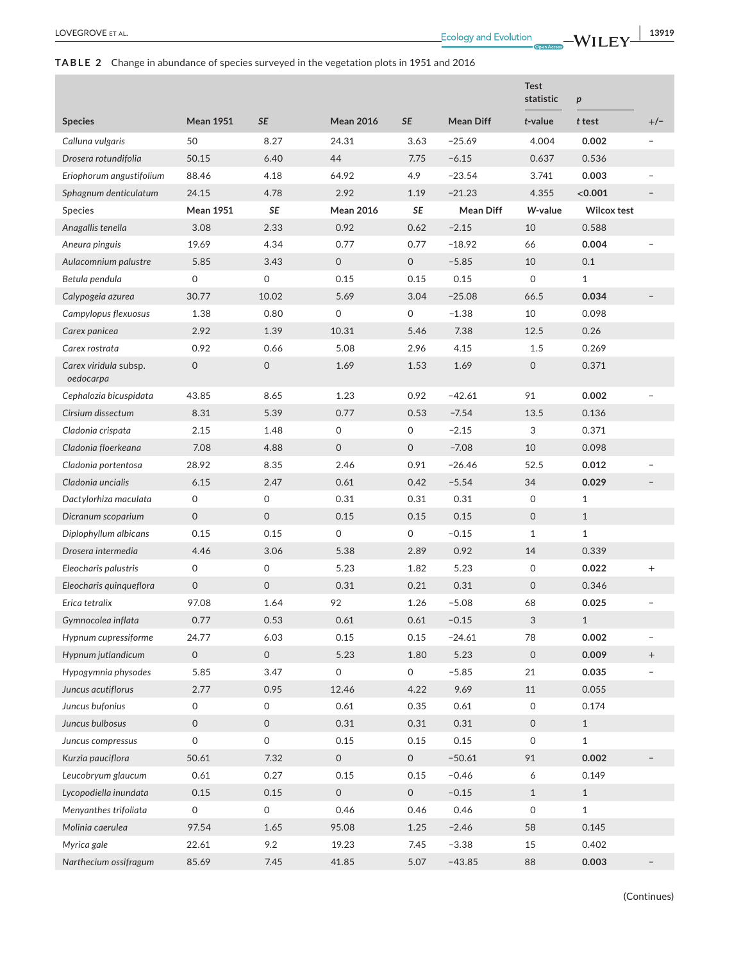# **TABLE 2** Change in abundance of species surveyed in the vegetation plots in 1951 and 2016

|                                    |                     |                     |                     |                     |                  | <b>Test</b><br>statistic | $\boldsymbol{p}$   |                   |
|------------------------------------|---------------------|---------------------|---------------------|---------------------|------------------|--------------------------|--------------------|-------------------|
| <b>Species</b>                     | <b>Mean 1951</b>    | <b>SE</b>           | <b>Mean 2016</b>    | <b>SE</b>           | <b>Mean Diff</b> | $t$ -value               | t test             | $+/-$             |
| Calluna vulgaris                   | 50                  | 8.27                | 24.31               | 3.63                | $-25.69$         | 4.004                    | 0.002              |                   |
| Drosera rotundifolia               | 50.15               | 6.40                | 44                  | 7.75                | $-6.15$          | 0.637                    | 0.536              |                   |
| Eriophorum angustifolium           | 88.46               | 4.18                | 64.92               | 4.9                 | $-23.54$         | 3.741                    | 0.003              |                   |
| Sphagnum denticulatum              | 24.15               | 4.78                | 2.92                | 1.19                | $-21.23$         | 4.355                    | < 0.001            |                   |
| Species                            | <b>Mean 1951</b>    | SE                  | <b>Mean 2016</b>    | <b>SE</b>           | <b>Mean Diff</b> | W-value                  | <b>Wilcox test</b> |                   |
| Anagallis tenella                  | 3.08                | 2.33                | 0.92                | 0.62                | $-2.15$          | 10                       | 0.588              |                   |
| Aneura pinguis                     | 19.69               | 4.34                | 0.77                | 0.77                | $-18.92$         | 66                       | 0.004              |                   |
| Aulacomnium palustre               | 5.85                | 3.43                | 0                   | $\mathsf{O}$        | $-5.85$          | 10                       | 0.1                |                   |
| Betula pendula                     | $\mathsf{O}$        | $\mathsf{O}$        | 0.15                | 0.15                | 0.15             | 0                        | $\mathbf{1}$       |                   |
| Calypogeia azurea                  | 30.77               | 10.02               | 5.69                | 3.04                | $-25.08$         | 66.5                     | 0.034              |                   |
| Campylopus flexuosus               | 1.38                | 0.80                | 0                   | 0                   | $-1.38$          | 10                       | 0.098              |                   |
| Carex panicea                      | 2.92                | 1.39                | 10.31               | 5.46                | 7.38             | 12.5                     | 0.26               |                   |
| Carex rostrata                     | 0.92                | 0.66                | 5.08                | 2.96                | 4.15             | 1.5                      | 0.269              |                   |
| Carex viridula subsp.<br>oedocarpa | $\mathsf{O}$        | $\mathsf{O}\xspace$ | 1.69                | 1.53                | 1.69             | $\mathsf{O}$             | 0.371              |                   |
| Cephalozia bicuspidata             | 43.85               | 8.65                | 1.23                | 0.92                | $-42.61$         | 91                       | 0.002              |                   |
| Cirsium dissectum                  | 8.31                | 5.39                | 0.77                | 0.53                | $-7.54$          | 13.5                     | 0.136              |                   |
| Cladonia crispata                  | 2.15                | 1.48                | 0                   | 0                   | $-2.15$          | 3                        | 0.371              |                   |
| Cladonia floerkeana                | 7.08                | 4.88                | 0                   | $\mathsf{O}$        | $-7.08$          | 10                       | 0.098              |                   |
| Cladonia portentosa                | 28.92               | 8.35                | 2.46                | 0.91                | $-26.46$         | 52.5                     | 0.012              |                   |
| Cladonia uncialis                  | 6.15                | 2.47                | 0.61                | 0.42                | $-5.54$          | 34                       | 0.029              |                   |
| Dactylorhiza maculata              | 0                   | 0                   | 0.31                | 0.31                | 0.31             | 0                        | $\mathbf{1}$       |                   |
| Dicranum scoparium                 | $\mathsf{O}$        | $\mathbf 0$         | 0.15                | 0.15                | 0.15             | $\mathsf{O}$             | $\mathbf{1}$       |                   |
| Diplophyllum albicans              | 0.15                | 0.15                | 0                   | 0                   | $-0.15$          | $\mathbf{1}$             | $\mathbf{1}$       |                   |
| Drosera intermedia                 | 4.46                | 3.06                | 5.38                | 2.89                | 0.92             | 14                       | 0.339              |                   |
| Eleocharis palustris               | $\mathsf O$         | 0                   | 5.23                | 1.82                | 5.23             | 0                        | 0.022              | $^{+}$            |
| Eleocharis quinqueflora            | $\mathsf{O}\xspace$ | 0                   | 0.31                | 0.21                | 0.31             | 0                        | 0.346              |                   |
| Erica tetralix                     | 97.08               | 1.64                | 92                  | 1.26                | $-5.08$          | 68                       | 0.025              |                   |
| Gymnocolea inflata                 | 0.77                | 0.53                | 0.61                | 0.61                | $-0.15$          | $\sqrt{3}$               | $\mathbf{1}$       |                   |
| Hypnum cupressiforme               | 24.77               | 6.03                | 0.15                | 0.15                | $-24.61$         | 78                       | 0.002              |                   |
| Hypnum jutlandicum                 | $\mathsf O$         | 0                   | 5.23                | 1.80                | 5.23             | $\mathsf O$              | 0.009              | $\qquad \qquad +$ |
| Hypogymnia physodes                | 5.85                | 3.47                | $\mathsf{O}\xspace$ | $\mathsf{O}\xspace$ | $-5.85$          | 21                       | 0.035              |                   |
| Juncus acutiflorus                 | 2.77                | 0.95                | 12.46               | 4.22                | 9.69             | 11                       | 0.055              |                   |
| Juncus bufonius                    | $\mathsf{O}\xspace$ | 0                   | 0.61                | 0.35                | 0.61             | 0                        | 0.174              |                   |
| Juncus bulbosus                    | $\mathsf O$         | $\mathsf O$         | 0.31                | 0.31                | 0.31             | $\mathsf O$              | $1\,$              |                   |
| Juncus compressus                  | 0                   | 0                   | 0.15                | 0.15                | 0.15             | 0                        | $\mathbf{1}$       |                   |
| Kurzia pauciflora                  | 50.61               | 7.32                | $\mathsf{O}\xspace$ | $\mathsf{O}\xspace$ | $-50.61$         | 91                       | 0.002              |                   |
| Leucobryum glaucum                 | 0.61                | 0.27                | 0.15                | 0.15                | $-0.46$          | 6                        | 0.149              |                   |
| Lycopodiella inundata              | 0.15                | 0.15                | $\mathsf{O}\xspace$ | $\mathsf O$         | $-0.15$          | $1\,$                    | $\mathbf{1}$       |                   |
| Menyanthes trifoliata              | 0                   | 0                   | 0.46                | 0.46                | 0.46             | 0                        | $\mathbf 1$        |                   |
| Molinia caerulea                   | 97.54               | 1.65                | 95.08               | 1.25                | $-2.46$          | 58                       | 0.145              |                   |
| Myrica gale                        | 22.61               | 9.2                 | 19.23               | 7.45                | $-3.38$          | 15                       | 0.402              |                   |
| Narthecium ossifragum              | 85.69               | 7.45                | 41.85               | 5.07                | $-43.85$         | 88                       | 0.003              |                   |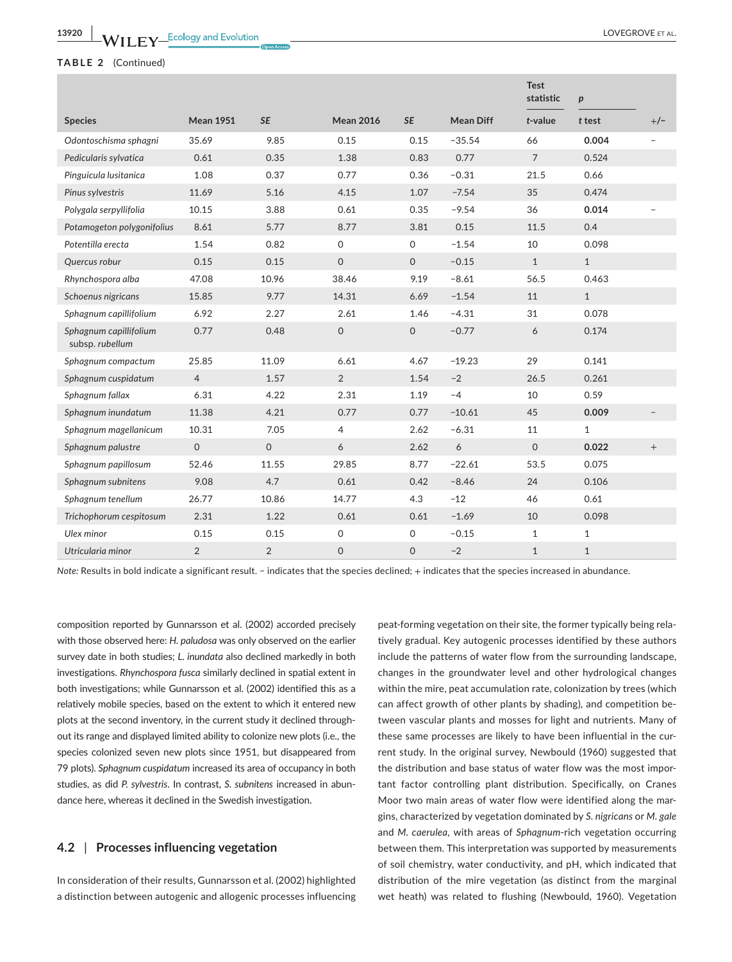# **TABLE 2** (Continued)

|                                           |                  |                |                  |                     |                  | <b>Test</b><br>statistic | $\boldsymbol{p}$ |                |
|-------------------------------------------|------------------|----------------|------------------|---------------------|------------------|--------------------------|------------------|----------------|
| <b>Species</b>                            | <b>Mean 1951</b> | <b>SE</b>      | <b>Mean 2016</b> | <b>SE</b>           | <b>Mean Diff</b> | $t$ -value               | t test           | $+/-$          |
| Odontoschisma sphagni                     | 35.69            | 9.85           | 0.15             | 0.15                | $-35.54$         | 66                       | 0.004            | $\overline{a}$ |
| Pedicularis sylvatica                     | 0.61             | 0.35           | 1.38             | 0.83                | 0.77             | $\overline{7}$           | 0.524            |                |
| Pinguicula lusitanica                     | 1.08             | 0.37           | 0.77             | 0.36                | $-0.31$          | 21.5                     | 0.66             |                |
| Pinus sylvestris                          | 11.69            | 5.16           | 4.15             | 1.07                | $-7.54$          | 35                       | 0.474            |                |
| Polygala serpyllifolia                    | 10.15            | 3.88           | 0.61             | 0.35                | $-9.54$          | 36                       | 0.014            |                |
| Potamogeton polygonifolius                | 8.61             | 5.77           | 8.77             | 3.81                | 0.15             | 11.5                     | 0.4              |                |
| Potentilla erecta                         | 1.54             | 0.82           | 0                | $\mathsf O$         | $-1.54$          | 10                       | 0.098            |                |
| Quercus robur                             | 0.15             | 0.15           | $\mathsf{O}$     | $\mathbf{0}$        | $-0.15$          | $\mathbf{1}$             | $\mathbf{1}$     |                |
| Rhynchospora alba                         | 47.08            | 10.96          | 38.46            | 9.19                | $-8.61$          | 56.5                     | 0.463            |                |
| Schoenus nigricans                        | 15.85            | 9.77           | 14.31            | 6.69                | $-1.54$          | 11                       | $\mathbf{1}$     |                |
| Sphagnum capillifolium                    | 6.92             | 2.27           | 2.61             | 1.46                | $-4.31$          | 31                       | 0.078            |                |
| Sphagnum capillifolium<br>subsp. rubellum | 0.77             | 0.48           | 0                | $\mathsf{O}\xspace$ | $-0.77$          | 6                        | 0.174            |                |
| Sphagnum compactum                        | 25.85            | 11.09          | 6.61             | 4.67                | $-19.23$         | 29                       | 0.141            |                |
| Sphagnum cuspidatum                       | $\overline{4}$   | 1.57           | 2                | 1.54                | $-2$             | 26.5                     | 0.261            |                |
| Sphagnum fallax                           | 6.31             | 4.22           | 2.31             | 1.19                | $-4$             | 10                       | 0.59             |                |
| Sphagnum inundatum                        | 11.38            | 4.21           | 0.77             | 0.77                | $-10.61$         | 45                       | 0.009            |                |
| Sphagnum magellanicum                     | 10.31            | 7.05           | 4                | 2.62                | $-6.31$          | 11                       | $\mathbf{1}$     |                |
| Sphagnum palustre                         | $\mathsf{O}$     | $\mathsf{O}$   | 6                | 2.62                | 6                | $\Omega$                 | 0.022            | $+$            |
| Sphagnum papillosum                       | 52.46            | 11.55          | 29.85            | 8.77                | $-22.61$         | 53.5                     | 0.075            |                |
| Sphagnum subnitens                        | 9.08             | 4.7            | 0.61             | 0.42                | $-8.46$          | 24                       | 0.106            |                |
| Sphagnum tenellum                         | 26.77            | 10.86          | 14.77            | 4.3                 | $-12$            | 46                       | 0.61             |                |
| Trichophorum cespitosum                   | 2.31             | 1.22           | 0.61             | 0.61                | $-1.69$          | 10                       | 0.098            |                |
| Ulex minor                                | 0.15             | 0.15           | 0                | $\Omega$            | $-0.15$          | $\mathbf{1}$             | $\mathbf{1}$     |                |
| Utricularia minor                         | $\overline{2}$   | $\overline{2}$ | $\mathbf 0$      | $\Omega$            | $-2$             | $\mathbf{1}$             | $\mathbf{1}$     |                |

*Note:* Results in bold indicate a significant result. − indicates that the species declined; + indicates that the species increased in abundance.

composition reported by Gunnarsson et al. (2002) accorded precisely with those observed here: *H. paludosa* was only observed on the earlier survey date in both studies; *L. inundata* also declined markedly in both investigations. *Rhynchospora fusca* similarly declined in spatial extent in both investigations; while Gunnarsson et al. (2002) identified this as a relatively mobile species, based on the extent to which it entered new plots at the second inventory, in the current study it declined throughout its range and displayed limited ability to colonize new plots (i.e., the species colonized seven new plots since 1951, but disappeared from 79 plots). *Sphagnum cuspidatum* increased its area of occupancy in both studies, as did *P. sylvestris*. In contrast, *S. subnitens* increased in abundance here, whereas it declined in the Swedish investigation.

# **4.2** | **Processes influencing vegetation**

In consideration of their results, Gunnarsson et al. (2002) highlighted a distinction between autogenic and allogenic processes influencing peat-forming vegetation on their site, the former typically being relatively gradual. Key autogenic processes identified by these authors include the patterns of water flow from the surrounding landscape, changes in the groundwater level and other hydrological changes within the mire, peat accumulation rate, colonization by trees (which can affect growth of other plants by shading), and competition between vascular plants and mosses for light and nutrients. Many of these same processes are likely to have been influential in the current study. In the original survey, Newbould (1960) suggested that the distribution and base status of water flow was the most important factor controlling plant distribution. Specifically, on Cranes Moor two main areas of water flow were identified along the margins, characterized by vegetation dominated by *S. nigricans* or *M. gale* and *M. caerulea,* with areas of *Sphagnum*-rich vegetation occurring between them. This interpretation was supported by measurements of soil chemistry, water conductivity, and pH, which indicated that distribution of the mire vegetation (as distinct from the marginal wet heath) was related to flushing (Newbould, 1960). Vegetation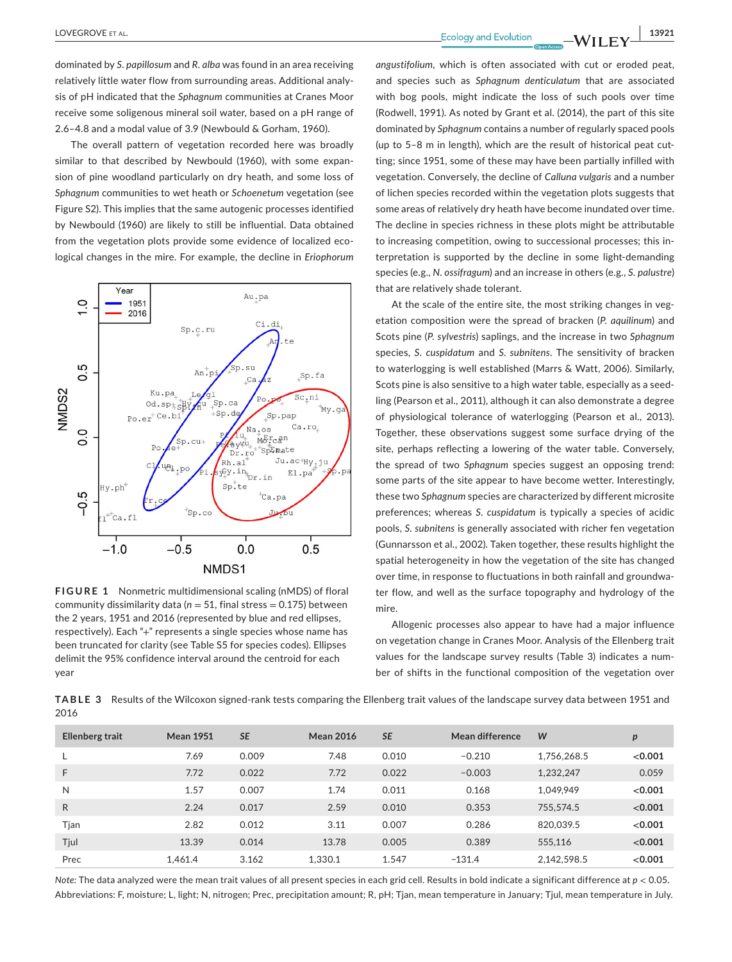dominated by *S. papillosum* and *R. alba* was found in an area receiving relatively little water flow from surrounding areas. Additional analysis of pH indicated that the *Sphagnum* communities at Cranes Moor receive some soligenous mineral soil water, based on a pH range of 2.6–4.8 and a modal value of 3.9 (Newbould & Gorham, 1960).

The overall pattern of vegetation recorded here was broadly similar to that described by Newbould (1960), with some expansion of pine woodland particularly on dry heath, and some loss of *Sphagnum* communities to wet heath or *Schoenetum* vegetation (see Figure S2). This implies that the same autogenic processes identified by Newbould (1960) are likely to still be influential. Data obtained from the vegetation plots provide some evidence of localized ecological changes in the mire. For example, the decline in *Eriophorum* 



**FIGURE 1** Nonmetric multidimensional scaling (nMDS) of floral community dissimilarity data (*n* = 51, final stress = 0.175) between the 2 years, 1951 and 2016 (represented by blue and red ellipses, respectively). Each "+" represents a single species whose name has been truncated for clarity (see Table S5 for species codes). Ellipses delimit the 95% confidence interval around the centroid for each year

*angustifolium,* which is often associated with cut or eroded peat, and species such as *Sphagnum denticulatum* that are associated with bog pools, might indicate the loss of such pools over time (Rodwell, 1991). As noted by Grant et al. (2014), the part of this site dominated by *Sphagnum* contains a number of regularly spaced pools (up to 5–8 m in length), which are the result of historical peat cutting; since 1951, some of these may have been partially infilled with vegetation. Conversely, the decline of *Calluna vulgaris* and a number of lichen species recorded within the vegetation plots suggests that some areas of relatively dry heath have become inundated over time. The decline in species richness in these plots might be attributable to increasing competition, owing to successional processes; this interpretation is supported by the decline in some light-demanding species (e.g., *N. ossifragum*) and an increase in others (e.g., *S. palustre*) that are relatively shade tolerant.

At the scale of the entire site, the most striking changes in vegetation composition were the spread of bracken (*P. aquilinum*) and Scots pine (*P. sylvestris*) saplings, and the increase in two *Sphagnum* species, *S*. *cuspidatum* and *S. subnitens*. The sensitivity of bracken to waterlogging is well established (Marrs & Watt, 2006). Similarly, Scots pine is also sensitive to a high water table, especially as a seedling (Pearson et al., 2011), although it can also demonstrate a degree of physiological tolerance of waterlogging (Pearson et al., 2013). Together, these observations suggest some surface drying of the site, perhaps reflecting a lowering of the water table. Conversely, the spread of two *Sphagnum* species suggest an opposing trend: some parts of the site appear to have become wetter. Interestingly, these two *Sphagnum* species are characterized by different microsite preferences; whereas *S. cuspidatum* is typically a species of acidic pools, *S. subnitens* is generally associated with richer fen vegetation (Gunnarsson et al., 2002). Taken together, these results highlight the spatial heterogeneity in how the vegetation of the site has changed over time, in response to fluctuations in both rainfall and groundwater flow, and well as the surface topography and hydrology of the mire.

Allogenic processes also appear to have had a major influence on vegetation change in Cranes Moor. Analysis of the Ellenberg trait values for the landscape survey results (Table 3) indicates a number of shifts in the functional composition of the vegetation over

**TABLE 3** Results of the Wilcoxon signed-rank tests comparing the Ellenberg trait values of the landscape survey data between 1951 and 2016

| <b>Ellenberg trait</b> | <b>Mean 1951</b> | <b>SE</b> | <b>Mean 2016</b> | <b>SE</b> | Mean difference | W           | $\boldsymbol{p}$ |
|------------------------|------------------|-----------|------------------|-----------|-----------------|-------------|------------------|
|                        | 7.69             | 0.009     | 7.48             | 0.010     | $-0.210$        | 1.756.268.5 | < 0.001          |
| F                      | 7.72             | 0.022     | 7.72             | 0.022     | $-0.003$        | 1.232.247   | 0.059            |
| N                      | 1.57             | 0.007     | 1.74             | 0.011     | 0.168           | 1.049.949   | < 0.001          |
| R.                     | 2.24             | 0.017     | 2.59             | 0.010     | 0.353           | 755.574.5   | < 0.001          |
| Tjan                   | 2.82             | 0.012     | 3.11             | 0.007     | 0.286           | 820,039.5   | < 0.001          |
| Tjul                   | 13.39            | 0.014     | 13.78            | 0.005     | 0.389           | 555.116     | < 0.001          |
| Prec                   | 1.461.4          | 3.162     | 1.330.1          | 1.547     | $-131.4$        | 2,142,598.5 | < 0.001          |

*Note:* The data analyzed were the mean trait values of all present species in each grid cell. Results in bold indicate a significant difference at *p* < 0.05. Abbreviations: F, moisture; L, light; N, nitrogen; Prec, precipitation amount; R, pH; Tjan, mean temperature in January; Tjul, mean temperature in July.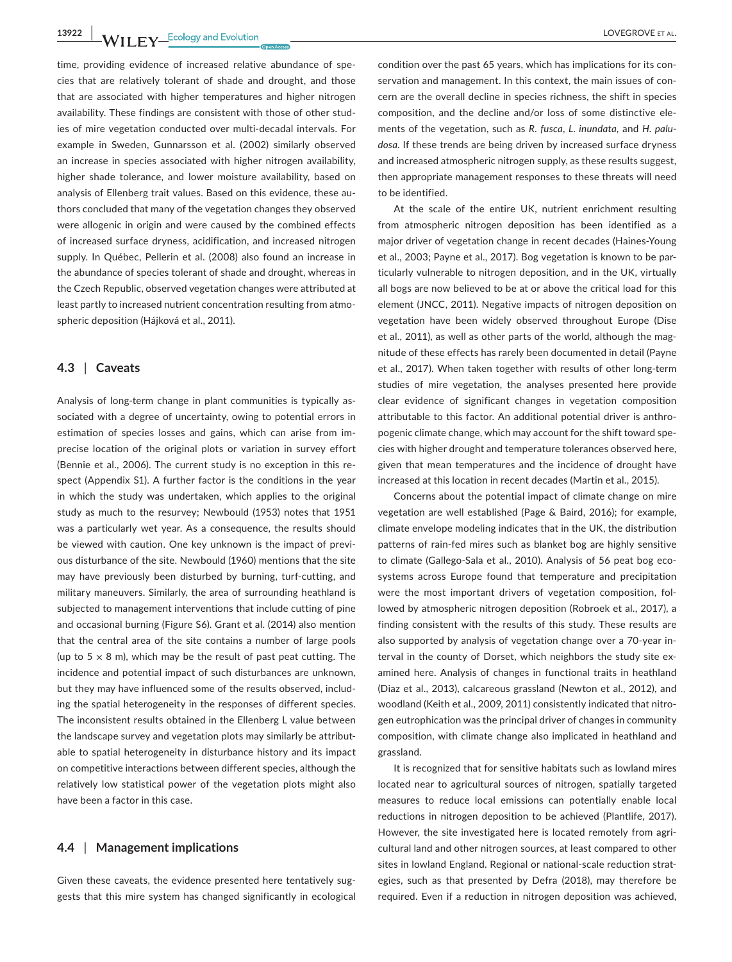**13922 WII FY** Ecology and Evolution **COVEGAL COVEGAL COVEGACT ET AL.** 

time, providing evidence of increased relative abundance of species that are relatively tolerant of shade and drought, and those that are associated with higher temperatures and higher nitrogen availability. These findings are consistent with those of other studies of mire vegetation conducted over multi-decadal intervals. For example in Sweden, Gunnarsson et al. (2002) similarly observed an increase in species associated with higher nitrogen availability, higher shade tolerance, and lower moisture availability, based on analysis of Ellenberg trait values. Based on this evidence, these authors concluded that many of the vegetation changes they observed were allogenic in origin and were caused by the combined effects of increased surface dryness, acidification, and increased nitrogen supply. In Québec, Pellerin et al. (2008) also found an increase in the abundance of species tolerant of shade and drought, whereas in the Czech Republic, observed vegetation changes were attributed at least partly to increased nutrient concentration resulting from atmospheric deposition (Hájková et al., 2011).

# **4.3** | **Caveats**

Analysis of long-term change in plant communities is typically associated with a degree of uncertainty, owing to potential errors in estimation of species losses and gains, which can arise from imprecise location of the original plots or variation in survey effort (Bennie et al., 2006). The current study is no exception in this respect (Appendix S1). A further factor is the conditions in the year in which the study was undertaken, which applies to the original study as much to the resurvey; Newbould (1953) notes that 1951 was a particularly wet year. As a consequence, the results should be viewed with caution. One key unknown is the impact of previous disturbance of the site. Newbould (1960) mentions that the site may have previously been disturbed by burning, turf-cutting, and military maneuvers. Similarly, the area of surrounding heathland is subjected to management interventions that include cutting of pine and occasional burning (Figure S6). Grant et al. (2014) also mention that the central area of the site contains a number of large pools (up to  $5 \times 8$  m), which may be the result of past peat cutting. The incidence and potential impact of such disturbances are unknown, but they may have influenced some of the results observed, including the spatial heterogeneity in the responses of different species. The inconsistent results obtained in the Ellenberg L value between the landscape survey and vegetation plots may similarly be attributable to spatial heterogeneity in disturbance history and its impact on competitive interactions between different species, although the relatively low statistical power of the vegetation plots might also have been a factor in this case.

# **4.4** | **Management implications**

Given these caveats, the evidence presented here tentatively suggests that this mire system has changed significantly in ecological

condition over the past 65 years, which has implications for its conservation and management. In this context, the main issues of concern are the overall decline in species richness, the shift in species composition, and the decline and/or loss of some distinctive elements of the vegetation, such as *R. fusca*, *L. inundata,* and *H. paludosa*. If these trends are being driven by increased surface dryness and increased atmospheric nitrogen supply, as these results suggest, then appropriate management responses to these threats will need to be identified.

At the scale of the entire UK, nutrient enrichment resulting from atmospheric nitrogen deposition has been identified as a major driver of vegetation change in recent decades (Haines-Young et al., 2003; Payne et al., 2017). Bog vegetation is known to be particularly vulnerable to nitrogen deposition, and in the UK, virtually all bogs are now believed to be at or above the critical load for this element (JNCC, 2011). Negative impacts of nitrogen deposition on vegetation have been widely observed throughout Europe (Dise et al., 2011), as well as other parts of the world, although the magnitude of these effects has rarely been documented in detail (Payne et al., 2017). When taken together with results of other long-term studies of mire vegetation, the analyses presented here provide clear evidence of significant changes in vegetation composition attributable to this factor. An additional potential driver is anthropogenic climate change, which may account for the shift toward species with higher drought and temperature tolerances observed here, given that mean temperatures and the incidence of drought have increased at this location in recent decades (Martin et al., 2015).

Concerns about the potential impact of climate change on mire vegetation are well established (Page & Baird, 2016); for example, climate envelope modeling indicates that in the UK, the distribution patterns of rain-fed mires such as blanket bog are highly sensitive to climate (Gallego-Sala et al., 2010). Analysis of 56 peat bog ecosystems across Europe found that temperature and precipitation were the most important drivers of vegetation composition, followed by atmospheric nitrogen deposition (Robroek et al., 2017), a finding consistent with the results of this study. These results are also supported by analysis of vegetation change over a 70-year interval in the county of Dorset, which neighbors the study site examined here. Analysis of changes in functional traits in heathland (Diaz et al., 2013), calcareous grassland (Newton et al., 2012), and woodland (Keith et al., 2009, 2011) consistently indicated that nitrogen eutrophication was the principal driver of changes in community composition, with climate change also implicated in heathland and grassland.

It is recognized that for sensitive habitats such as lowland mires located near to agricultural sources of nitrogen, spatially targeted measures to reduce local emissions can potentially enable local reductions in nitrogen deposition to be achieved (Plantlife, 2017). However, the site investigated here is located remotely from agricultural land and other nitrogen sources, at least compared to other sites in lowland England. Regional or national-scale reduction strategies, such as that presented by Defra (2018), may therefore be required. Even if a reduction in nitrogen deposition was achieved,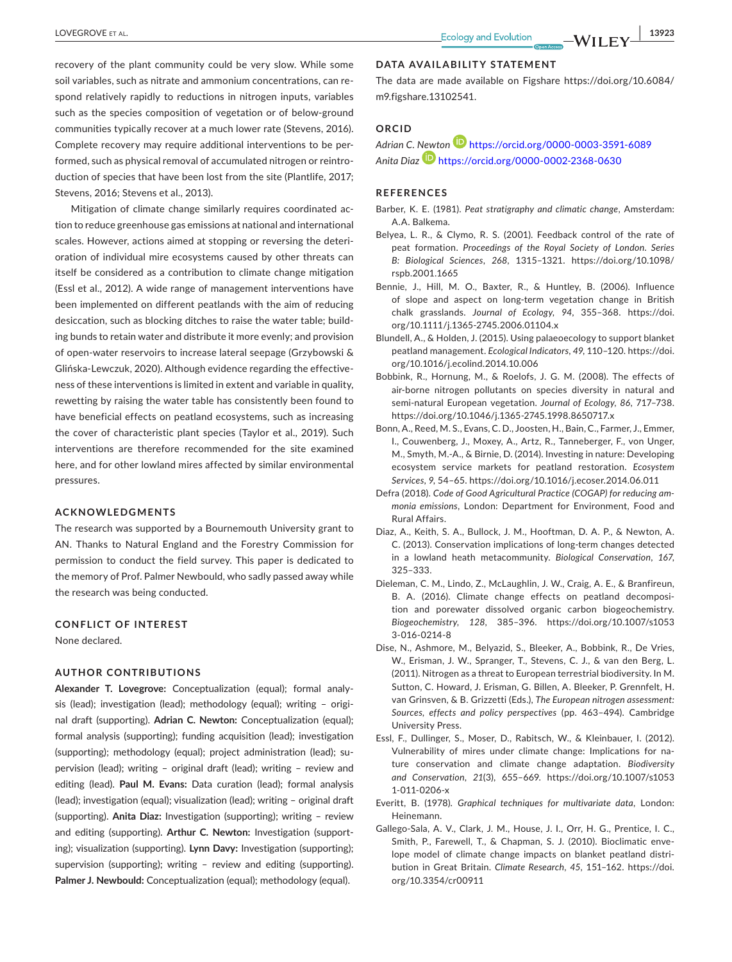recovery of the plant community could be very slow. While some soil variables, such as nitrate and ammonium concentrations, can respond relatively rapidly to reductions in nitrogen inputs, variables such as the species composition of vegetation or of below-ground communities typically recover at a much lower rate (Stevens, 2016). Complete recovery may require additional interventions to be performed, such as physical removal of accumulated nitrogen or reintroduction of species that have been lost from the site (Plantlife, 2017; Stevens, 2016; Stevens et al., 2013).

Mitigation of climate change similarly requires coordinated action to reduce greenhouse gas emissions at national and international scales. However, actions aimed at stopping or reversing the deterioration of individual mire ecosystems caused by other threats can itself be considered as a contribution to climate change mitigation (Essl et al., 2012). A wide range of management interventions have been implemented on different peatlands with the aim of reducing desiccation, such as blocking ditches to raise the water table; building bunds to retain water and distribute it more evenly; and provision of open-water reservoirs to increase lateral seepage (Grzybowski & Glińska-Lewczuk, 2020). Although evidence regarding the effectiveness of these interventions is limited in extent and variable in quality, rewetting by raising the water table has consistently been found to have beneficial effects on peatland ecosystems, such as increasing the cover of characteristic plant species (Taylor et al., 2019). Such interventions are therefore recommended for the site examined here, and for other lowland mires affected by similar environmental pressures.

#### **ACKNOWLEDGMENTS**

The research was supported by a Bournemouth University grant to AN. Thanks to Natural England and the Forestry Commission for permission to conduct the field survey. This paper is dedicated to the memory of Prof. Palmer Newbould, who sadly passed away while the research was being conducted.

#### **CONFLICT OF INTEREST**

None declared.

#### **AUTHOR CONTRIBUTIONS**

**Alexander T. Lovegrove:** Conceptualization (equal); formal analysis (lead); investigation (lead); methodology (equal); writing – original draft (supporting). **Adrian C. Newton:** Conceptualization (equal); formal analysis (supporting); funding acquisition (lead); investigation (supporting); methodology (equal); project administration (lead); supervision (lead); writing – original draft (lead); writing – review and editing (lead). **Paul M. Evans:** Data curation (lead); formal analysis (lead); investigation (equal); visualization (lead); writing – original draft (supporting). **Anita Diaz:** Investigation (supporting); writing – review and editing (supporting). **Arthur C. Newton:** Investigation (supporting); visualization (supporting). **Lynn Davy:** Investigation (supporting); supervision (supporting); writing – review and editing (supporting). **Palmer J. Newbould:** Conceptualization (equal); methodology (equal).

#### **DATA AVAILABILITY STATEMENT**

The data are made available on Figshare [https://doi.org/10.6084/](https://doi.org/10.6084/m9.figshare.13102541) [m9.figshare.13102541.](https://doi.org/10.6084/m9.figshare.13102541)

# **ORCID**

# *Adrian C. [Newt](https://orcid.org/0000-0002-2368-0630)o[n](https://orcid.org/0000-0003-3591-6089)* <https://orcid.org/0000-0003-3591-6089> *Anita Diaz* <https://orcid.org/0000-0002-2368-0630>

## **REFERENCES**

- Barber, K. E. (1981). *Peat stratigraphy and climatic change*, Amsterdam: A.A. Balkema.
- Belyea, L. R., & Clymo, R. S. (2001). Feedback control of the rate of peat formation. *Proceedings of the Royal Society of London. Series B: Biological Sciences*, *268*, 1315–1321. [https://doi.org/10.1098/](https://doi.org/10.1098/rspb.2001.1665) [rspb.2001.1665](https://doi.org/10.1098/rspb.2001.1665)
- Bennie, J., Hill, M. O., Baxter, R., & Huntley, B. (2006). Influence of slope and aspect on long-term vegetation change in British chalk grasslands. *Journal of Ecology*, *94*, 355–368. [https://doi.](https://doi.org/10.1111/j.1365-2745.2006.01104.x) [org/10.1111/j.1365-2745.2006.01104.x](https://doi.org/10.1111/j.1365-2745.2006.01104.x)
- Blundell, A., & Holden, J. (2015). Using palaeoecology to support blanket peatland management. *Ecological Indicators*, *49*, 110–120. [https://doi.](https://doi.org/10.1016/j.ecolind.2014.10.006) [org/10.1016/j.ecolind.2014.10.006](https://doi.org/10.1016/j.ecolind.2014.10.006)
- Bobbink, R., Hornung, M., & Roelofs, J. G. M. (2008). The effects of air-borne nitrogen pollutants on species diversity in natural and semi-natural European vegetation. *Journal of Ecology*, *86*, 717–738. <https://doi.org/10.1046/j.1365-2745.1998.8650717.x>
- Bonn, A., Reed, M. S., Evans, C. D., Joosten, H., Bain, C., Farmer, J., Emmer, I., Couwenberg, J., Moxey, A., Artz, R., Tanneberger, F., von Unger, M., Smyth, M.-A., & Birnie, D. (2014). Investing in nature: Developing ecosystem service markets for peatland restoration. *Ecosystem Services*, *9*, 54–65. <https://doi.org/10.1016/j.ecoser.2014.06.011>
- Defra (2018). *Code of Good Agricultural Practice (COGAP) for reducing ammonia emissions*, London: Department for Environment, Food and Rural Affairs.
- Diaz, A., Keith, S. A., Bullock, J. M., Hooftman, D. A. P., & Newton, A. C. (2013). Conservation implications of long-term changes detected in a lowland heath metacommunity. *Biological Conservation*, *167*, 325–333.
- Dieleman, C. M., Lindo, Z., McLaughlin, J. W., Craig, A. E., & Branfireun, B. A. (2016). Climate change effects on peatland decomposition and porewater dissolved organic carbon biogeochemistry. *Biogeochemistry*, *128*, 385–396. [https://doi.org/10.1007/s1053](https://doi.org/10.1007/s10533-016-0214-8) [3-016-0214-8](https://doi.org/10.1007/s10533-016-0214-8)
- Dise, N., Ashmore, M., Belyazid, S., Bleeker, A., Bobbink, R., De Vries, W., Erisman, J. W., Spranger, T., Stevens, C. J., & van den Berg, L. (2011). Nitrogen as a threat to European terrestrial biodiversity. In M. Sutton, C. Howard, J. Erisman, G. Billen, A. Bleeker, P. Grennfelt, H. van Grinsven, & B. Grizzetti (Eds.), *The European nitrogen assessment: Sources, effects and policy perspectives* (pp. 463–494). Cambridge University Press.
- Essl, F., Dullinger, S., Moser, D., Rabitsch, W., & Kleinbauer, I. (2012). Vulnerability of mires under climate change: Implications for nature conservation and climate change adaptation. *Biodiversity and Conservation*, *21*(3), 655–669. [https://doi.org/10.1007/s1053](https://doi.org/10.1007/s10531-011-0206-x) [1-011-0206-x](https://doi.org/10.1007/s10531-011-0206-x)
- Everitt, B. (1978). *Graphical techniques for multivariate data*, London: Heinemann.
- Gallego-Sala, A. V., Clark, J. M., House, J. I., Orr, H. G., Prentice, I. C., Smith, P., Farewell, T., & Chapman, S. J. (2010). Bioclimatic envelope model of climate change impacts on blanket peatland distribution in Great Britain. *Climate Research*, *45*, 151–162. [https://doi.](https://doi.org/10.3354/cr00911) [org/10.3354/cr00911](https://doi.org/10.3354/cr00911)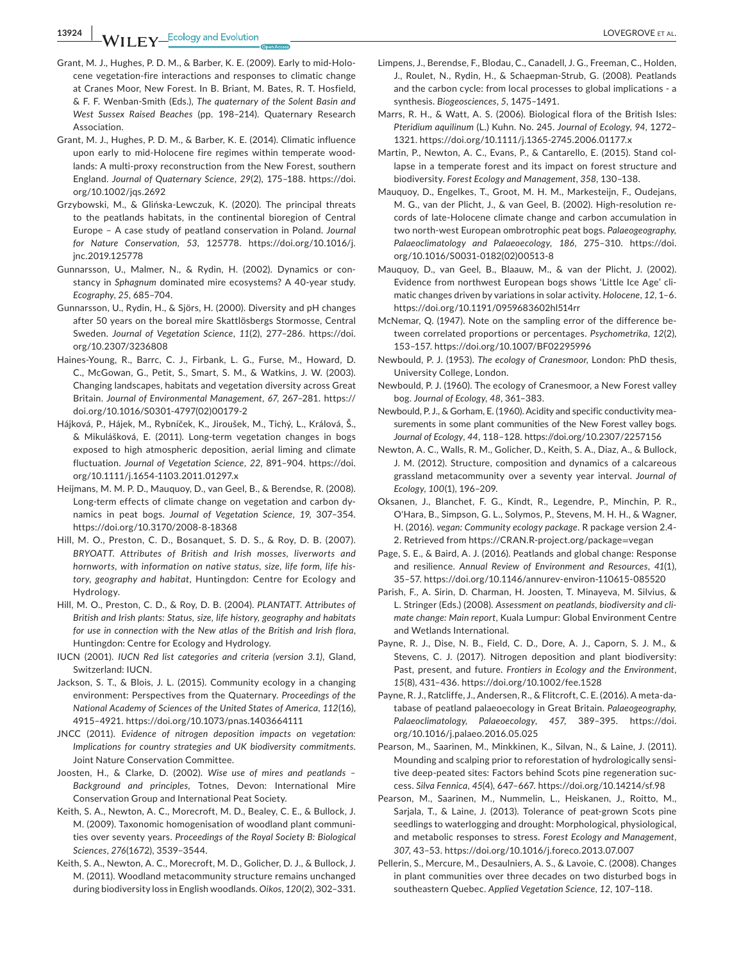**13924 |**  LOVEGROVE et al.

- Grant, M. J., Hughes, P. D. M., & Barber, K. E. (2009). Early to mid-Holocene vegetation-fire interactions and responses to climatic change at Cranes Moor, New Forest. In B. Briant, M. Bates, R. T. Hosfield, & F. F. Wenban-Smith (Eds.), *The quaternary of the Solent Basin and West Sussex Raised Beaches* (pp. 198–214). Quaternary Research Association.
- Grant, M. J., Hughes, P. D. M., & Barber, K. E. (2014). Climatic influence upon early to mid-Holocene fire regimes within temperate woodlands: A multi-proxy reconstruction from the New Forest, southern England. *Journal of Quaternary Science*, *29*(2), 175–188. [https://doi.](https://doi.org/10.1002/jqs.2692) [org/10.1002/jqs.2692](https://doi.org/10.1002/jqs.2692)
- Grzybowski, M., & Glińska-Lewczuk, K. (2020). The principal threats to the peatlands habitats, in the continental bioregion of Central Europe – A case study of peatland conservation in Poland. *Journal for Nature Conservation*, *53*, 125778. [https://doi.org/10.1016/j.](https://doi.org/10.1016/j.jnc.2019.125778) [jnc.2019.125778](https://doi.org/10.1016/j.jnc.2019.125778)
- Gunnarsson, U., Malmer, N., & Rydin, H. (2002). Dynamics or constancy in *Sphagnum* dominated mire ecosystems? A 40-year study. *Ecography*, *25*, 685–704.
- Gunnarsson, U., Rydin, H., & Sjörs, H. (2000). Diversity and pH changes after 50 years on the boreal mire Skattlösbergs Stormosse, Central Sweden. *Journal of Vegetation Science*, *11*(2), 277–286. [https://doi.](https://doi.org/10.2307/3236808) [org/10.2307/3236808](https://doi.org/10.2307/3236808)
- Haines-Young, R., Barrc, C. J., Firbank, L. G., Furse, M., Howard, D. C., McGowan, G., Petit, S., Smart, S. M., & Watkins, J. W. (2003). Changing landscapes, habitats and vegetation diversity across Great Britain. *Journal of Environmental Management*, *67*, 267–281. [https://](https://doi.org/10.1016/S0301-4797(02)00179-2) [doi.org/10.1016/S0301-4797\(02\)00179-2](https://doi.org/10.1016/S0301-4797(02)00179-2)
- Hájková, P., Hájek, M., Rybníček, K., Jiroušek, M., Tichý, L., Králová, Š., & Mikulášková, E. (2011). Long-term vegetation changes in bogs exposed to high atmospheric deposition, aerial liming and climate fluctuation. *Journal of Vegetation Science*, *22*, 891–904. [https://doi.](https://doi.org/10.1111/j.1654-1103.2011.01297.x) [org/10.1111/j.1654-1103.2011.01297.x](https://doi.org/10.1111/j.1654-1103.2011.01297.x)
- Heijmans, M. M. P. D., Mauquoy, D., van Geel, B., & Berendse, R. (2008). Long-term effects of climate change on vegetation and carbon dynamics in peat bogs. *Journal of Vegetation Science*, *19*, 307–354. <https://doi.org/10.3170/2008-8-18368>
- Hill, M. O., Preston, C. D., Bosanquet, S. D. S., & Roy, D. B. (2007). *BRYOATT. Attributes of British and Irish mosses, liverworts and hornworts, with information on native status, size, life form, life history, geography and habitat*, Huntingdon: Centre for Ecology and Hydrology.
- Hill, M. O., Preston, C. D., & Roy, D. B. (2004). *PLANTATT. Attributes of British and Irish plants: Status, size, life history, geography and habitats for use in connection with the New atlas of the British and Irish flora*, Huntingdon: Centre for Ecology and Hydrology.
- IUCN (2001). *IUCN Red list categories and criteria (version 3.1)*, Gland, Switzerland: IUCN.
- Jackson, S. T., & Blois, J. L. (2015). Community ecology in a changing environment: Perspectives from the Quaternary. *Proceedings of the National Academy of Sciences of the United States of America*, *112*(16), 4915–4921.<https://doi.org/10.1073/pnas.1403664111>
- JNCC (2011). *Evidence of nitrogen deposition impacts on vegetation: Implications for country strategies and UK biodiversity commitments*. Joint Nature Conservation Committee.
- Joosten, H., & Clarke, D. (2002). *Wise use of mires and peatlands Background and principles*, Totnes, Devon: International Mire Conservation Group and International Peat Society.
- Keith, S. A., Newton, A. C., Morecroft, M. D., Bealey, C. E., & Bullock, J. M. (2009). Taxonomic homogenisation of woodland plant communities over seventy years. *Proceedings of the Royal Society B: Biological Sciences*, *276*(1672), 3539–3544.
- Keith, S. A., Newton, A. C., Morecroft, M. D., Golicher, D. J., & Bullock, J. M. (2011). Woodland metacommunity structure remains unchanged during biodiversity loss in English woodlands. *Oikos*, *120*(2), 302–331.
- Limpens, J., Berendse, F., Blodau, C., Canadell, J. G., Freeman, C., Holden, J., Roulet, N., Rydin, H., & Schaepman-Strub, G. (2008). Peatlands and the carbon cycle: from local processes to global implications - a synthesis. *Biogeosciences*, *5*, 1475–1491.
- Marrs, R. H., & Watt, A. S. (2006). Biological flora of the British Isles: *Pteridium aquilinum* (L.) Kuhn. No. 245. *Journal of Ecology*, *94*, 1272– 1321. <https://doi.org/10.1111/j.1365-2745.2006.01177.x>
- Martin, P., Newton, A. C., Evans, P., & Cantarello, E. (2015). Stand collapse in a temperate forest and its impact on forest structure and biodiversity. *Forest Ecology and Management*, *358*, 130–138.
- Mauquoy, D., Engelkes, T., Groot, M. H. M., Markesteijn, F., Oudejans, M. G., van der Plicht, J., & van Geel, B. (2002). High-resolution records of late-Holocene climate change and carbon accumulation in two north-west European ombrotrophic peat bogs. *Palaeogeography, Palaeoclimatology and Palaeoecology*, *186*, 275–310. [https://doi.](https://doi.org/10.1016/S0031-0182(02)00513-8) [org/10.1016/S0031-0182\(02\)00513-8](https://doi.org/10.1016/S0031-0182(02)00513-8)
- Mauquoy, D., van Geel, B., Blaauw, M., & van der Plicht, J. (2002). Evidence from northwest European bogs shows 'Little Ice Age' climatic changes driven by variations in solar activity. *Holocene*, *12*, 1–6. <https://doi.org/10.1191/0959683602hl514rr>
- McNemar, Q. (1947). Note on the sampling error of the difference between correlated proportions or percentages. *Psychometrika*, *12*(2), 153–157. <https://doi.org/10.1007/BF02295996>
- Newbould, P. J. (1953). *The ecology of Cranesmoor*, London: PhD thesis, University College, London.
- Newbould, P. J. (1960). The ecology of Cranesmoor, a New Forest valley bog. *Journal of Ecology*, *48*, 361–383.
- Newbould, P. J., & Gorham, E. (1960). Acidity and specific conductivity measurements in some plant communities of the New Forest valley bogs. *Journal of Ecology*, *44*, 118–128. <https://doi.org/10.2307/2257156>
- Newton, A. C., Walls, R. M., Golicher, D., Keith, S. A., Diaz, A., & Bullock, J. M. (2012). Structure, composition and dynamics of a calcareous grassland metacommunity over a seventy year interval. *Journal of Ecology*, *100*(1), 196–209.
- Oksanen, J., Blanchet, F. G., Kindt, R., Legendre, P., Minchin, P. R., O'Hara, B., Simpson, G. L., Solymos, P., Stevens, M. H. H., & Wagner, H. (2016). *vegan: Community ecology package*. R package version 2.4- 2. Retrieved from [https://CRAN.R-project.org/package](https://CRAN.R-project.org/package=vegan)=vegan
- Page, S. E., & Baird, A. J. (2016). Peatlands and global change: Response and resilience. *Annual Review of Environment and Resources*, *41*(1), 35–57.<https://doi.org/10.1146/annurev-environ-110615-085520>
- Parish, F., A. Sirin, D. Charman, H. Joosten, T. Minayeva, M. Silvius, & L. Stringer (Eds.) (2008). *Assessment on peatlands, biodiversity and climate change: Main report*, Kuala Lumpur: Global Environment Centre and Wetlands International.
- Payne, R. J., Dise, N. B., Field, C. D., Dore, A. J., Caporn, S. J. M., & Stevens, C. J. (2017). Nitrogen deposition and plant biodiversity: Past, present, and future. *Frontiers in Ecology and the Environment*, *15*(8), 431–436. <https://doi.org/10.1002/fee.1528>
- Payne, R. J., Ratcliffe, J., Andersen, R., & Flitcroft, C. E. (2016). A meta-database of peatland palaeoecology in Great Britain. *Palaeogeography, Palaeoclimatology, Palaeoecology*, *457*, 389–395. [https://doi.](https://doi.org/10.1016/j.palaeo.2016.05.025) [org/10.1016/j.palaeo.2016.05.025](https://doi.org/10.1016/j.palaeo.2016.05.025)
- Pearson, M., Saarinen, M., Minkkinen, K., Silvan, N., & Laine, J. (2011). Mounding and scalping prior to reforestation of hydrologically sensitive deep-peated sites: Factors behind Scots pine regeneration success. *Silva Fennica*, *45*(4), 647–667. <https://doi.org/10.14214/sf.98>
- Pearson, M., Saarinen, M., Nummelin, L., Heiskanen, J., Roitto, M., Sarjala, T., & Laine, J. (2013). Tolerance of peat-grown Scots pine seedlings to waterlogging and drought: Morphological, physiological, and metabolic responses to stress. *Forest Ecology and Management*, *307*, 43–53. <https://doi.org/10.1016/j.foreco.2013.07.007>
- Pellerin, S., Mercure, M., Desaulniers, A. S., & Lavoie, C. (2008). Changes in plant communities over three decades on two disturbed bogs in southeastern Quebec. *Applied Vegetation Science*, *12*, 107–118.